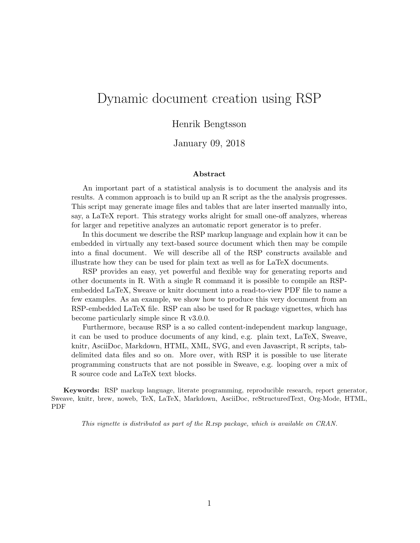# Dynamic document creation using RSP

### Henrik Bengtsson

January 09, 2018

#### Abstract

An important part of a statistical analysis is to document the analysis and its results. A common approach is to build up an R script as the the analysis progresses. This script may generate image files and tables that are later inserted manually into, say, a LaTeX report. This strategy works alright for small one-off analyzes, whereas for larger and repetitive analyzes an automatic report generator is to prefer.

In this document we describe the RSP markup language and explain how it can be embedded in virtually any text-based source document which then may be compile into a final document. We will describe all of the RSP constructs available and illustrate how they can be used for plain text as well as for LaTeX documents.

RSP provides an easy, yet powerful and flexible way for generating reports and other documents in R. With a single R command it is possible to compile an RSPembedded LaTeX, Sweave or knitr document into a read-to-view PDF file to name a few examples. As an example, we show how to produce this very document from an RSP-embedded LaTeX file. RSP can also be used for R package vignettes, which has become particularly simple since R v3.0.0.

Furthermore, because RSP is a so called content-independent markup language, it can be used to produce documents of any kind, e.g. plain text, LaTeX, Sweave, knitr, AsciiDoc, Markdown, HTML, XML, SVG, and even Javascript, R scripts, tabdelimited data files and so on. More over, with RSP it is possible to use literate programming constructs that are not possible in Sweave, e.g. looping over a mix of R source code and LaTeX text blocks.

Keywords: RSP markup language, literate programming, reproducible research, report generator, Sweave, knitr, brew, noweb, TeX, LaTeX, Markdown, AsciiDoc, reStructuredText, Org-Mode, HTML, PDF

This vignette is distributed as part of the R.rsp package, which is available on CRAN.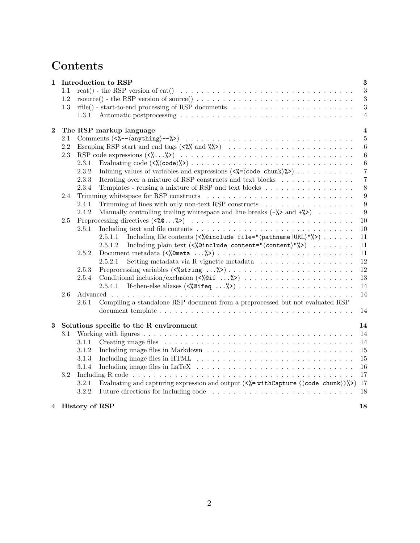# Contents

| $\mathbf{1}$ |     | Introduction to RSP                                                                                                                                  | 3                       |
|--------------|-----|------------------------------------------------------------------------------------------------------------------------------------------------------|-------------------------|
|              | 1.1 | $\text{rcat}()$ - the RSP version of cat $() \dots \dots \dots \dots \dots \dots \dots \dots \dots \dots \dots \dots$                                | 3                       |
|              | 1.2 |                                                                                                                                                      | 3                       |
|              | 1.3 |                                                                                                                                                      | 3                       |
|              |     | 1.3.1                                                                                                                                                | $\overline{4}$          |
|              |     |                                                                                                                                                      |                         |
| $\bf{2}$     |     | The RSP markup language                                                                                                                              | $\overline{\mathbf{4}}$ |
|              | 2.1 |                                                                                                                                                      | 5                       |
|              | 2.2 |                                                                                                                                                      | 6                       |
|              | 2.3 |                                                                                                                                                      | 6                       |
|              |     | 2.3.1                                                                                                                                                | $\boldsymbol{6}$        |
|              |     | 2.3.2<br>Inlining values of variables and expressions $(\langle\frac{1}{2}\rangle = \langle \text{code chunk}\rangle\frac{1}{2})$                    | $\overline{7}$          |
|              |     | Iterating over a mixture of RSP constructs and text blocks $\hfill\ldots\ldots\ldots\ldots\ldots\ldots$<br>2.3.3                                     | $\overline{7}$          |
|              |     | 2.3.4<br>Templates - reusing a mixture of RSP and text blocks $\ldots \ldots \ldots \ldots \ldots \ldots$                                            | 8                       |
|              | 2.4 |                                                                                                                                                      | 9                       |
|              |     | 2.4.1                                                                                                                                                | 9                       |
|              |     | Manually controlling trailing whitespace and line breaks $(\frac{1}{2})$ and $\frac{1}{2}$ )<br>2.4.2                                                | 9                       |
|              | 2.5 |                                                                                                                                                      | 10                      |
|              |     | $2.5.1\,$                                                                                                                                            | 10                      |
|              |     | Including file contents (<%@include file=" $\langle$ pathname URL $\rangle$ "%>)<br>2.5.1.1                                                          | 11                      |
|              |     | Including plain text $(\langle \sqrt[n]{\text{qinclude content}} = " \langle \text{content} \rangle" \rangle)$<br>2.5.1.2                            | 11                      |
|              |     | 2.5.2                                                                                                                                                | 11                      |
|              |     | Setting metadata via R vignette metadata $\ldots \ldots \ldots \ldots \ldots \ldots$<br>2.5.2.1                                                      | 12                      |
|              |     | 2.5.3                                                                                                                                                | 12                      |
|              |     | Conditional inclusion/exclusion $(\langle \sqrt[n]{\mathfrak{Qif}} \dots \sqrt[k]{\rangle} \dots \dots \dots \dots \dots \dots \dots \dots$<br>2.5.4 | 13                      |
|              |     |                                                                                                                                                      | 14                      |
|              | 2.6 |                                                                                                                                                      | 14                      |
|              |     | Compiling a standalone RSP document from a preprocessed but not evaluated RSP<br>$2.6.1\,$                                                           |                         |
|              |     |                                                                                                                                                      | 14                      |
|              |     |                                                                                                                                                      |                         |
| 3            |     | Solutions specific to the R environment                                                                                                              | 14                      |
|              | 3.1 |                                                                                                                                                      | 14                      |
|              |     | 3.1.1                                                                                                                                                | 14                      |
|              |     | 3.1.2                                                                                                                                                | 15                      |
|              |     | 3.1.3<br>Including image files in HTML $\dots \dots \dots \dots \dots \dots \dots \dots \dots \dots \dots \dots$                                     | 15                      |
|              |     | 3.1.4                                                                                                                                                | 16                      |
|              | 3.2 |                                                                                                                                                      | 17                      |
|              |     | Evaluating and capturing expression and output $(\langle\%=withCapture((code chunk))\rangle)$ 17<br>3.2.1                                            |                         |
|              |     | 3.2.2                                                                                                                                                | 18                      |
|              |     | 4 History of RSP                                                                                                                                     | 18                      |
|              |     |                                                                                                                                                      |                         |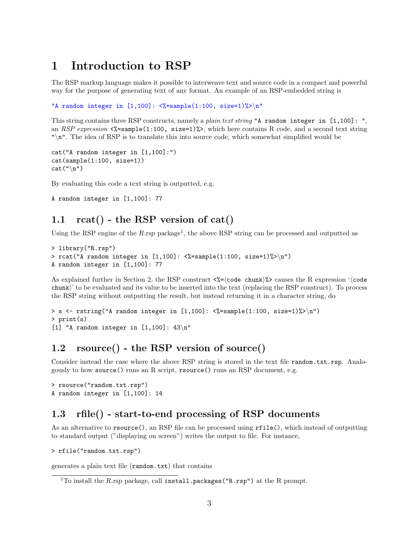## <span id="page-2-0"></span>1 Introduction to RSP

The RSP markup language makes it possible to interweave text and source code in a compact and powerful way for the purpose of generating text of any format. An example of an RSP-embedded string is

"A random integer in  $[1,100]$ :  $\frac{8}{25}$ sample(1:100, size=1)%>\n"

This string contains three RSP constructs, namely a *plain text string* "A random integer in [1,100]: ", an RSP expression  $\leq$  = sample(1:100, size=1)%>, which here contains R code, and a second text string "\n". The idea of RSP is to translate this into source code, which somewhat simplified would be

```
cat("A random integer in [1,100]:")
cat(sample(1:100, size=1))
cat("n")
```
By evaluating this code a text string is outputted, e.g.

```
A random integer in [1,100]: 77
```
## <span id="page-2-1"></span>1.1  $rcat()$  - the RSP version of cat()

Using the RSP engine of the  $R$ .rsp package<sup>[1](#page-2-4)</sup>, the above RSP string can be processed and outputted as

```
> library("R.rsp")
> rcat("A random integer in [1,100]: \langle\frac{1}{6}=sample(1:100, size=1)\langle\rangle\langle\rangle\langle n''\rangleA random integer in [1,100]: 77
```
As explained further in Section [2,](#page-3-1) the RSP construct  $\langle\mathscr{K}=\langle \text{code chunk}\rangle\mathscr{K}$  causes the R expression ' $\langle \text{code chunk}\rangle\mathscr{K}$  $\text{chunk}$  to be evaluated and its value to be inserted into the text (replacing the RSP construct). To process the RSP string without outputting the result, but instead returning it in a character string, do

```
> s <- rstring("A random integer in [1,100]: <%=sample(1:100, size=1)%>\n")
> print(s)
[1] "A random integer in [1,100]: 43\n"
```
## <span id="page-2-2"></span>1.2 rsource() - the RSP version of source()

Consider instead the case where the above RSP string is stored in the text file random.txt.rsp. Analogously to how source() runs an R script, rsource() runs an RSP document, e.g.

```
> rsource("random.txt.rsp")
A random integer in [1,100]: 14
```
### <span id="page-2-3"></span>1.3 rfile() - start-to-end processing of RSP documents

As an alternative to rsource(), an RSP file can be processed using rfile(), which instead of outputting to standard output ("displaying on screen") writes the output to file. For instance,

```
> rfile("random.txt.rsp")
```
generates a plain text file (random.txt) that contains

<span id="page-2-4"></span><sup>&</sup>lt;sup>1</sup>To install the *R*.rsp package, call install.packages("R.rsp") at the *R* prompt.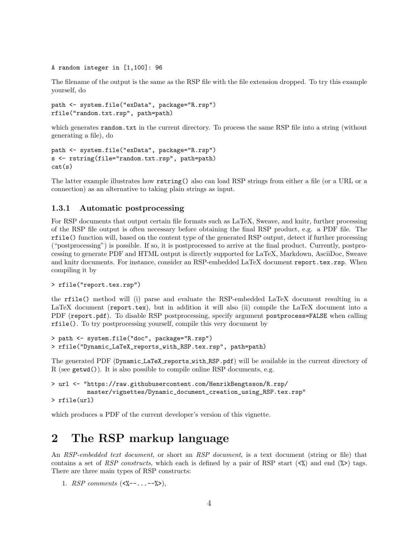A random integer in [1,100]: 96

The filename of the output is the same as the RSP file with the file extension dropped. To try this example yourself, do

```
path <- system.file("exData", package="R.rsp")
rfile("random.txt.rsp", path=path)
```
which generates random.txt in the current directory. To process the same RSP file into a string (without generating a file), do

```
path <- system.file("exData", package="R.rsp")
s <- rstring(file="random.txt.rsp", path=path)
cat(s)
```
The latter example illustrates how rstring() also can load RSP strings from either a file (or a URL or a connection) as an alternative to taking plain strings as input.

#### <span id="page-3-0"></span>1.3.1 Automatic postprocessing

For RSP documents that output certain file formats such as LaTeX, Sweave, and knitr, further processing of the RSP file output is often necessary before obtaining the final RSP product, e.g. a PDF file. The rfile() function will, based on the content type of the generated RSP output, detect if further processing ("postprocessing") is possible. If so, it is postprocessed to arrive at the final product. Currently, postprocessing to generate PDF and HTML output is directly supported for LaTeX, Markdown, AsciiDoc, Sweave and knitr documents. For instance, consider an RSP-embedded LaTeX document report.tex.rsp. When compiling it by

```
> rfile("report.tex.rsp")
```
the rfile() method will (i) parse and evaluate the RSP-embedded LaTeX document resulting in a LaTeX document (report.tex), but in addition it will also (ii) compile the LaTeX document into a PDF (report.pdf). To disable RSP postprocessing, specify argument postprocess=FALSE when calling rfile(). To try postprocessing yourself, compile this very document by

```
> path <- system.file("doc", package="R.rsp")
> rfile("Dynamic_LaTeX_reports_with_RSP.tex.rsp", path=path)
```
The generated PDF (Dynamic LaTeX reports with RSP.pdf) will be available in the current directory of R (see getwd()). It is also possible to compile online RSP documents, e.g.

```
> url <- "https://raw.githubusercontent.com/HenrikBengtsson/R.rsp/
          master/vignettes/Dynamic_document_creation_using_RSP.tex.rsp"
```
> rfile(url)

which produces a PDF of the current developer's version of this vignette.

## <span id="page-3-1"></span>2 The RSP markup language

An RSP-embedded text document, or short an RSP document, is a text document (string or file) that contains a set of RSP constructs, which each is defined by a pair of RSP start  $\langle \checkmark \rangle$  and end  $\langle \checkmark \rangle$  tags. There are three main types of RSP constructs:

1. RSP comments  $(\langle \cdot \rangle - - \ldots - \rangle)$ ,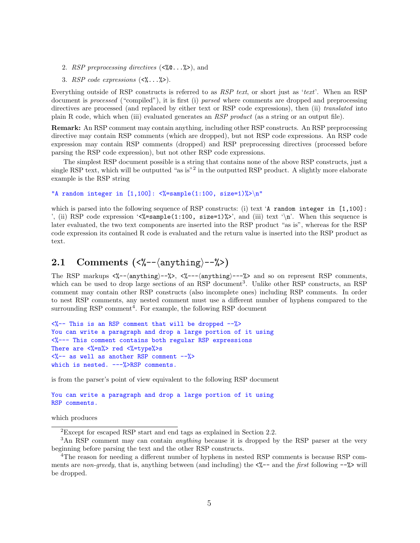- 2. RSP preprocessing directives  $(\langle \mathcal{K} \mathbf{0} \dots \mathcal{K} \rangle)$ , and
- 3. RSP code expressions  $(\langle \cdot \rangle, \ldots \rangle)$ .

Everything outside of RSP constructs is referred to as RSP text, or short just as 'text'. When an RSP document is processed ("compiled"), it is first (i) parsed where comments are dropped and preprocessing directives are processed (and replaced by either text or RSP code expressions), then (ii) translated into plain R code, which when (iii) evaluated generates an RSP product (as a string or an output file).

Remark: An RSP comment may contain anything, including other RSP constructs. An RSP preprocessing directive may contain RSP comments (which are dropped), but not RSP code expressions. An RSP code expression may contain RSP comments (dropped) and RSP preprocessing directives (processed before parsing the RSP code expression), but not other RSP code expressions.

The simplest RSP document possible is a string that contains none of the above RSP constructs, just a single RSP text, which will be outputted "as is"<sup>[2](#page-4-1)</sup> in the outputted RSP product. A slightly more elaborate example is the RSP string

"A random integer in  $[1,100]$ :  $\frac{8}{3}$ =sample(1:100, size=1)%>\n"

which is parsed into the following sequence of RSP constructs: (i) text 'A random integer in [1,100]: ', (ii) RSP code expression ' $\&$ =sample(1:100, size=1)%>', and (iii) text '\n'. When this sequence is later evaluated, the two text components are inserted into the RSP product "as is", whereas for the RSP code expression its contained R code is evaluated and the return value is inserted into the RSP product as text.

## <span id="page-4-0"></span>2.1 Comments  $(\langle\%-\langle\mathrm{anything}\rangle-\rangle-\rangle)$

The RSP markups  $\langle\mathcal{K}-\langle\mathrm{anything}\rangle-\mathcal{K}\rangle$ ,  $\langle\mathcal{K}--\langle\mathrm{anything}\rangle-\mathcal{K}\rangle$  and so on represent RSP comments, which can be used to drop large sections of an RSP document<sup>[3](#page-4-2)</sup>. Unlike other RSP constructs, an RSP comment may contain other RSP constructs (also incomplete ones) including RSP comments. In order to nest RSP comments, any nested comment must use a different number of hyphens compared to the surrounding RSP comment<sup>[4](#page-4-3)</sup>. For example, the following RSP document

```
\langle\%-- This is an RSP comment that will be dropped -\rangle\You can write a paragraph and drop a large portion of it using
<%--- This comment contains both regular RSP expressions
There are \langle\-n\rangle\ red \langle\-type\rangle\s
\langle\%--\rangle as well as another RSP comment -\rangle\langle\ranglewhich is nested. ---%>RSP comments.
```
is from the parser's point of view equivalent to the following RSP document

```
You can write a paragraph and drop a large portion of it using
RSP comments.
```
which produces

<span id="page-4-2"></span><span id="page-4-1"></span><sup>2</sup>Except for escaped RSP start and end tags as explained in Section [2.2.](#page-5-0)

<sup>&</sup>lt;sup>3</sup>An RSP comment may can contain *anything* because it is dropped by the RSP parser at the very beginning before parsing the text and the other RSP constructs.

<span id="page-4-3"></span><sup>&</sup>lt;sup>4</sup>The reason for needing a different number of hyphens in nested RSP comments is because RSP comments are non-greedy, that is, anything between (and including) the  $\langle\gamma\rangle$ -- and the first following  $-\gamma\rangle$  will be dropped.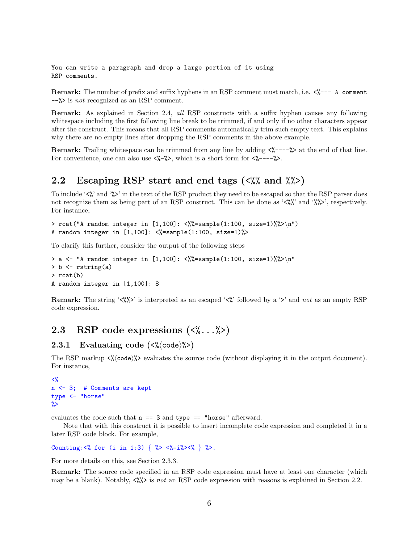You can write a paragraph and drop a large portion of it using RSP comments.

**Remark:** The number of prefix and suffix hyphens in an RSP comment must match, i.e.  $\lt$ %--- A comment  $-\frac{2}{\sqrt{2}}$  is *not* recognized as an RSP comment.

Remark: As explained in Section [2.4,](#page-8-0) all RSP constructs with a suffix hyphen causes any following whitespace including the first following line break to be trimmed, if and only if no other characters appear after the construct. This means that all RSP comments automatically trim such empty text. This explains why there are no empty lines after dropping the RSP comments in the above example.

**Remark:** Trailing whitespace can be trimmed from any line by adding  $\langle\mathbf{\hat{z}}\rangle$ --- $\mathbf{\hat{z}}\rangle$  at the end of that line. For convenience, one can also use  $\langle -\frac{1}{2}, \frac{1}{2}, \frac{1}{2}, \frac{1}{2} \rangle$ , which is a short form for  $\langle -\frac{1}{2}, -\frac{1}{2} \rangle$ .

## <span id="page-5-0"></span>2.2 Escaping RSP start and end tags  $(\langle\% \rangle \otimes \langle\$\rangle)$

To include '<%' and '%>' in the text of the RSP product they need to be escaped so that the RSP parser does not recognize them as being part of an RSP construct. This can be done as '<%%' and '%%>', respectively. For instance,

```
> rcat("A random integer in [1,100]: <%%=sample(1:100, size=1)%%>\n")
A random integer in [1,100]: \langle%=sample(1:100, size=1)%>
```
To clarify this further, consider the output of the following steps

```
> a <- "A random integer in [1,100]: \langle\%=\text{sample}(1:100, \text{ size=1})\%'\rangle\n"
> b <- rstring(a)
> rcat(b)
A random integer in [1,100]: 8
```
**Remark:** The string ' $\langle\frac{1}{6}\rangle$ ' is interpreted as an escaped ' $\langle\frac{1}{6}\rangle$ ' followed by a '>' and not as an empty RSP code expression.

## <span id="page-5-1"></span>2.3 RSP code expressions  $(\langle \cdot \rangle, \ldots \rangle)$

#### <span id="page-5-2"></span>2.3.1 Evaluating code  $(\langle\% \langle \text{code}\rangle\% \rangle)$

The RSP markup  $\langle\% \rangle$  code)%> evaluates the source code (without displaying it in the output document). For instance,

```
<%
n <- 3; # Comments are kept
type <- "horse"
\frac{9}{2}
```
evaluates the code such that  $n = 3$  and type  $==$  "horse" afterward.

Note that with this construct it is possible to insert incomplete code expression and completed it in a later RSP code block. For example,

Counting: <% for (i in 1:3) { %> <%=i%><% } %>.

For more details on this, see Section [2.3.3.](#page-6-1)

Remark: The source code specified in an RSP code expression must have at least one character (which may be a blank). Notably,  $\langle\,\!\langle\,\!\langle \chi\rangle\rangle\!\rangle$  is not an RSP code expression with reasons is explained in Section [2.2.](#page-5-0)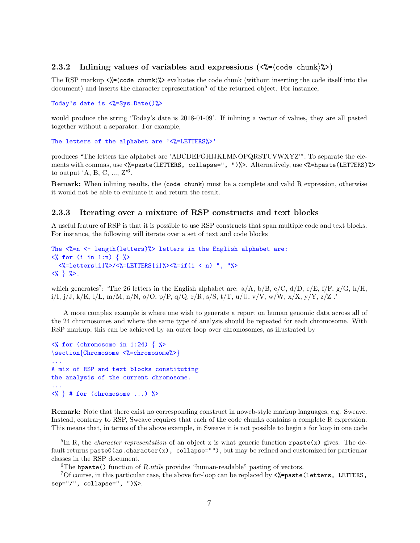#### <span id="page-6-0"></span>2.3.2 Inlining values of variables and expressions  $(\langle\ensuremath{\mathcal{K}}\xspace = \langle \text{code chunk} \rangle \ensuremath{\mathcal{K}}\xspace >)$

The RSP markup  $\frac{1}{n}$  (code chunk)%> evaluates the code chunk (without inserting the code itself into the document) and inserts the character representation<sup>[5](#page-6-2)</sup> of the returned object. For instance,

```
Today's date is <%=Sys.Date()%>
```
would produce the string 'Today's date is 2018-01-09'. If inlining a vector of values, they are all pasted together without a separator. For example,

The letters of the alphabet are  $\sqrt{s}$ -LETTERS $\sqrt{s}$ 

produces "The letters the alphabet are 'ABCDEFGHIJKLMNOPQRSTUVWXYZ'". To separate the elements with commas, use <%=paste(LETTERS, collapse=", ")%>. Alternatively, use <%=hpaste(LETTERS)%> to output 'A, B, C, ...,  $Z'$ <sup>[6](#page-6-3)</sup>.

Remark: When inlining results, the  $\langle \text{code chunk} \rangle$  must be a complete and valid R expression, otherwise it would not be able to evaluate it and return the result.

#### <span id="page-6-1"></span>2.3.3 Iterating over a mixture of RSP constructs and text blocks

A useful feature of RSP is that it is possible to use RSP constructs that span multiple code and text blocks. For instance, the following will iterate over a set of text and code blocks

```
The \frac{1}{n} <- length(letters)%> letters in the English alphabet are:
\langle\% for (i in 1:n) \langle\% \rangle\langle \mathcal{S}'_n = \text{letters}[i] \mathcal{S}_n \rangle / \langle \mathcal{S}'_n = \text{LETTERS}[i] \mathcal{S}_n \rangle \langle \mathcal{S}'_n = i f(i \leq n) ", "\mathcal{S}_n\langle\!\langle \cdot \rangle\!\rangle \to \langle \cdot \rangle.
```
which generates<sup>[7](#page-6-4)</sup>: 'The 26 letters in the English alphabet are:  $a/A$ ,  $b/B$ ,  $c/C$ ,  $d/D$ ,  $e/E$ ,  $f/F$ ,  $g/G$ ,  $h/H$ , i/I, j/J, k/K, l/L, m/M, n/N, o/O, p/P, q/Q, r/R, s/S, t/T, u/U, y/V, w/W, x/X, y/Y, z/Z.'

A more complex example is where one wish to generate a report on human genomic data across all of the 24 chromosomes and where the same type of analysis should be repeated for each chromosome. With RSP markup, this can be achieved by an outer loop over chromosomes, as illustrated by

```
\langle \nabla \times \mathbf{r} \rangle for (chromosome in 1:24) \langle \nabla \times \mathbf{r} \rangle\section{Chromosome <%=chromosome%>}
...
A mix of RSP and text blocks constituting
the analysis of the current chromosome.
...
\langle\% \rangle # for (chromosome ...) \frac{1}{2}
```
Remark: Note that there exist no corresponding construct in noweb-style markup languages, e.g. Sweave. Instead, contrary to RSP, Sweave requires that each of the code chunks contains a complete R expression. This means that, in terms of the above example, in Sweave it is not possible to begin a for loop in one code

<span id="page-6-2"></span><sup>&</sup>lt;sup>5</sup>In R, the *character representation* of an object x is what generic function rpaste(x) gives. The default returns paste $0$ (as.character(x), collapse=""), but may be refined and customized for particular classes in the RSP document.

<span id="page-6-4"></span><span id="page-6-3"></span><sup>&</sup>lt;sup>6</sup>The hpaste() function of R.utils provides "human-readable" pasting of vectors.

<sup>&</sup>lt;sup>7</sup>Of course, in this particular case, the above for-loop can be replaced by  $\langle\$ <sup>\*</sup>=paste(letters, LETTERS,  $sep=","$ ,  $collapse="$ , ")%>.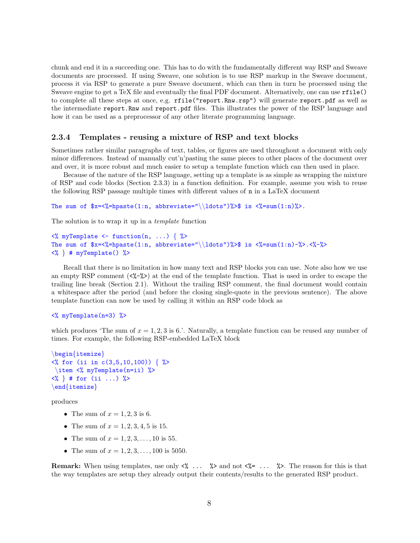chunk and end it in a succeeding one. This has to do with the fundamentally different way RSP and Sweave documents are processed. If using Sweave, one solution is to use RSP markup in the Sweave document, process it via RSP to generate a pure Sweave document, which can then in turn be processed using the Sweave engine to get a TeX file and eventually the final PDF document. Alternatively, one can use rfile() to complete all these steps at once, e.g. rfile("report.Rnw.rsp") will generate report.pdf as well as the intermediate report.Rnw and report.pdf files. This illustrates the power of the RSP language and how it can be used as a preprocessor of any other literate programming language.

#### <span id="page-7-0"></span>2.3.4 Templates - reusing a mixture of RSP and text blocks

Sometimes rather similar paragraphs of text, tables, or figures are used throughout a document with only minor differences. Instead of manually cut'n'pasting the same pieces to other places of the document over and over, it is more robust and much easier to setup a template function which can then used in place.

Because of the nature of the RSP language, setting up a template is as simple as wrapping the mixture of RSP and code blocks (Section [2.3.3\)](#page-6-1) in a function definition. For example, assume you wish to reuse the following RSP passage multiple times with different values of n in a LaTeX document

```
The sum of x=\frac{\frac{1}{n} \, \hbar^2}{\ldots}, abbreviate="\ldots")%>$ is \frac{\frac{1}{n} \, \hbar^2}{\ldots}.
```
The solution is to wrap it up in a template function

```
\langle\% myTemplate \langle\text{-} function(n, ...) \{\% \rangleThe sum of x=<\frac{1}{n}, abbreviate="\\ldots")%>$ is <%=sum(1:n)-%>.<%-%>
\langle\!\langle\ \rangle\ \rangle # myTemplate() \langle\!\langle\ \rangle\ \rangle
```
Recall that there is no limitation in how many text and RSP blocks you can use. Note also how we use an empty RSP comment  $(\langle \mathcal{L}_b^{\prime\prime} - \mathcal{L}_c^{\prime\prime}\rangle)$  at the end of the template function. That is used in order to escape the trailing line break (Section [2.1\)](#page-4-0). Without the trailing RSP comment, the final document would contain a whitespace after the period (and before the closing single-quote in the previous sentence). The above template function can now be used by calling it within an RSP code block as

#### <% myTemplate(n=3) %>

which produces 'The sum of  $x = 1, 2, 3$  is 6.'. Naturally, a template function can be reused any number of times. For example, the following RSP-embedded LaTeX block

```
\begin{itemize}
<% for (ii in c(3,5,10,100)) { %>
 \item <% myTemplate(n=ii) %>
\langle\!\langle \cdot \rangle \rangle # for (ii ...) \langle \rangle>
\end{math}
```
produces

- The sum of  $x = 1, 2, 3$  is 6.
- The sum of  $x = 1, 2, 3, 4, 5$  is 15.
- The sum of  $x = 1, 2, 3, ..., 10$  is 55.
- The sum of  $x = 1, 2, 3, \ldots, 100$  is 5050.

**Remark:** When using templates, use only  $\langle\mathcal{K} \dots \mathcal{K}\rangle$  and not  $\langle\mathcal{K} \dots \mathcal{K}\rangle$ . The reason for this is that the way templates are setup they already output their contents/results to the generated RSP product.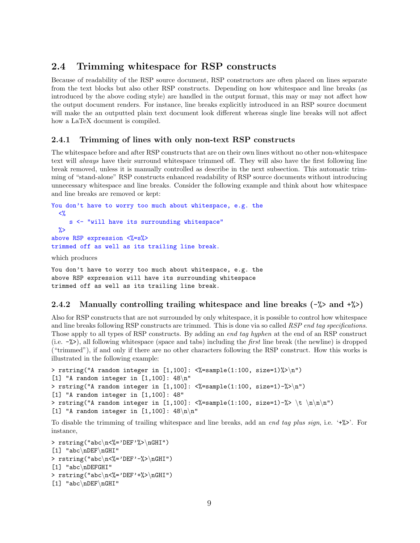## <span id="page-8-0"></span>2.4 Trimming whitespace for RSP constructs

Because of readability of the RSP source document, RSP constructors are often placed on lines separate from the text blocks but also other RSP constructs. Depending on how whitespace and line breaks (as introduced by the above coding style) are handled in the output format, this may or may not affect how the output document renders. For instance, line breaks explicitly introduced in an RSP source document will make the an outputted plain text document look different whereas single line breaks will not affect how a LaTeX document is compiled.

#### <span id="page-8-1"></span>2.4.1 Trimming of lines with only non-text RSP constructs

The whitespace before and after RSP constructs that are on their own lines without no other non-whitespace text will always have their surround whitespace trimmed off. They will also have the first following line break removed, unless it is manually controlled as describe in the next subsection. This automatic trimming of "stand-alone" RSP constructs enhanced readability of RSP source documents without introducing unnecessary whitespace and line breaks. Consider the following example and think about how whitespace and line breaks are removed or kept:

```
You don't have to worry too much about whitespace, e.g. the
  <\frac{9}{6}s <- "will have its surrounding whitespace"
  \frac{9}{2}above RSP expression \langle\frac{9}{8}=s\rangletrimmed off as well as its trailing line break.
```
which produces

You don't have to worry too much about whitespace, e.g. the above RSP expression will have its surrounding whitespace trimmed off as well as its trailing line break.

#### <span id="page-8-2"></span>2.4.2 Manually controlling trailing white space and line breaks  $(\frac{-\pi}{2})$  and  $\frac{+\pi}{2}$

Also for RSP constructs that are not surrounded by only whitespace, it is possible to control how whitespace and line breaks following RSP constructs are trimmed. This is done via so called RSP end tag specifications. Those apply to all types of RSP constructs. By adding an end tag hyphen at the end of an RSP construct (i.e.  $-\frac{1}{2}$ ), all following whitespace (space and tabs) including the *first* line break (the newline) is dropped ("trimmed"), if and only if there are no other characters following the RSP construct. How this works is illustrated in the following example:

```
> rstring("A random integer in [1,100]: <%=sample(1:100, size=1)%>\n")
[1] "A random integer in [1,100]: 48\n"
> rstring("A random integer in [1,100]: \langle\frac{1}{8}=sample(1:100, size=1)-\langle\rangle>\n")
[1] "A random integer in [1,100]: 48"
> rstring("A random integer in [1,100]: \langle%=sample(1:100, size=1)-% \t \n\n\n")
[1] "A random integer in [1,100]: 48\langle n \rangle n"
```
To disable the trimming of trailing whitespace and line breaks, add an *end tag plus sign*, i.e. ' $\frac{1}{2}$ '. For instance,

```
> rstring("abc\n'k='DEF'%\n'nGHI")[1] "abc\nDEF\nGHI"
> rstring("abc\n<%='DEF'-%>\nGHI")
[1] "abc\nDEFGHI"
> rstring("abc\n'k='DEF''+%>nGHI")[1] "abc\nDEF\nGHI"
```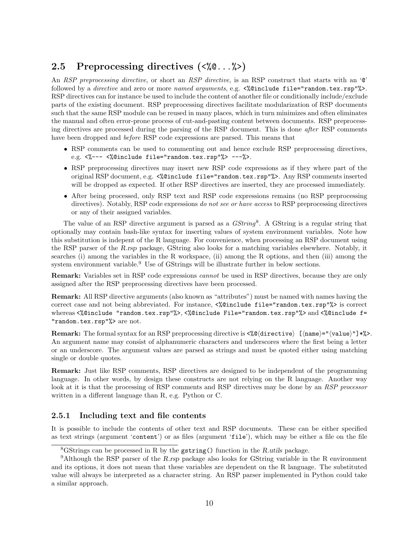## <span id="page-9-0"></span>2.5 Preprocessing directives (<%@...%>)

An RSP preprocessing directive, or short an RSP directive, is an RSP construct that starts with an '@' followed by a *directive* and zero or more *named arguments*, e.g.  $\langle\text{C}(\mathbf{C})\rangle$  file="random.tex.rsp"%>. RSP directives can for instance be used to include the content of another file or conditionally include/exclude parts of the existing document. RSP preprocessing directives facilitate modularization of RSP documents such that the same RSP module can be reused in many places, which in turn minimizes and often eliminates the manual and often error-prone process of cut-and-pasting content between documents. RSP preprocessing directives are processed during the parsing of the RSP document. This is done after RSP comments have been dropped and before RSP code expressions are parsed. This means that

- RSP comments can be used to commenting out and hence exclude RSP preprocessing directives, e.g. <%--- <%@include file="random.tex.rsp"%> ---%>.
- RSP preprocessing directives may insert new RSP code expressions as if they where part of the original RSP document, e.g. <%@include file="random.tex.rsp"%>. Any RSP comments inserted will be dropped as expected. If other RSP directives are inserted, they are processed immediately.
- After being processed, only RSP text and RSP code expressions remains (no RSP preprocessing directives). Notably, RSP code expressions do not see or have access to RSP preprocessing directives or any of their assigned variables.

The value of an RSP directive argument is parsed as a  $GString^8$  $GString^8$ . A GString is a regular string that optionally may contain bash-like syntax for inserting values of system environment variables. Note how this substitution is indepent of the R language. For convenience, when processing an RSP document using the RSP parser of the R.rsp package, GString also looks for a matching variables elsewhere. Notably, it searches (i) among the variables in the R workspace, (ii) among the R options, and then (iii) among the system environment variable.<sup>[9](#page-9-3)</sup> Use of GStrings will be illustrate further in below sections.

Remark: Variables set in RSP code expressions cannot be used in RSP directives, because they are only assigned after the RSP preprocessing directives have been processed.

Remark: All RSP directive arguments (also known as "attributes") must be named with names having the correct case and not being abbreviated. For instance, <%@include file="random.tex.rsp"%> is correct whereas <%@include "random.tex.rsp"%>, <%@include File="random.tex.rsp"%> and <%@include f= "random.tex.rsp"%> are not.

**Remark:** The formal syntax for an RSP preprocessing directive is  $\langle\% \phi \rangle$  (directive)  $[\langle \text{name}\rangle = \langle \text{value}\rangle] * \rangle \rangle$ . An argument name may consist of alphanumeric characters and underscores where the first being a letter or an underscore. The argument values are parsed as strings and must be quoted either using matching single or double quotes.

Remark: Just like RSP comments, RSP directives are designed to be independent of the programming language. In other words, by design these constructs are not relying on the R language. Another way look at it is that the processing of RSP comments and RSP directives may be done by an *RSP processor* written in a different language than R, e.g. Python or C.

#### <span id="page-9-1"></span>2.5.1 Including text and file contents

It is possible to include the contents of other text and RSP documents. These can be either specified as text strings (argument 'content') or as files (argument 'file'), which may be either a file on the file

<span id="page-9-3"></span><span id="page-9-2"></span> $8$ GStrings can be processed in R by the gstring() function in the R.utils package.

<sup>&</sup>lt;sup>9</sup>Although the RSP parser of the R.rsp package also looks for GString variable in the R environment and its options, it does not mean that these variables are dependent on the R language. The substituted value will always be interpreted as a character string. An RSP parser implemented in Python could take a similar approach.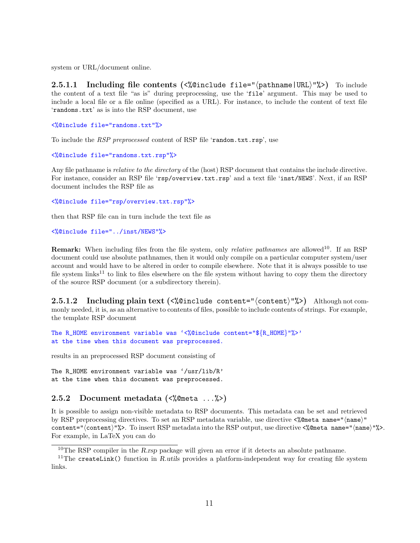system or URL/document online.

<span id="page-10-0"></span>**2.5.1.1** Including file contents  $(\langle\%@include \text{ file}=\langle\%@inname|URL\rangle"\rangle)$  To include the content of a text file "as is" during preprocessing, use the 'file' argument. This may be used to include a local file or a file online (specified as a URL). For instance, to include the content of text file 'randoms.txt' as is into the RSP document, use

```
<%@include file="randoms.txt"%>
```
To include the RSP preprocessed content of RSP file 'random.txt.rsp', use

<%@include file="randoms.txt.rsp"%>

Any file pathname is *relative to the directory* of the (host) RSP document that contains the include directive. For instance, consider an RSP file 'rsp/overview.txt.rsp' and a text file 'inst/NEWS'. Next, if an RSP document includes the RSP file as

<%@include file="rsp/overview.txt.rsp"%>

then that RSP file can in turn include the text file as

<%@include file="../inst/NEWS"%>

**Remark:** When including files from the file system, only *relative pathnames* are allowed<sup>[10](#page-10-3)</sup>. If an RSP document could use absolute pathnames, then it would only compile on a particular computer system/user account and would have to be altered in order to compile elsewhere. Note that it is always possible to use file system links<sup>[11](#page-10-4)</sup> to link to files elsewhere on the file system without having to copy them the directory of the source RSP document (or a subdirectory therein).

<span id="page-10-1"></span>2.5.1.2 Including plain text  $(\langle \text{``Quadrode content''} \rangle \text{`}})$  Although not commonly needed, it is, as an alternative to contents of files, possible to include contents of strings. For example, the template RSP document

The R\_HOME environment variable was '<%@include content="\${R\_HOME}"%>' at the time when this document was preprocessed.

results in an preprocessed RSP document consisting of

The R\_HOME environment variable was '/usr/lib/R' at the time when this document was preprocessed.

#### <span id="page-10-2"></span>2.5.2 Document metadata (<%@meta ...%>)

It is possible to assign non-visible metadata to RSP documents. This metadata can be set and retrieved by RSP preprocessing directives. To set an RSP metadata variable, use directive  $\langle\mathcal{E}\rangle$  meta name=" $\langle$ name)" content=" $\langle$ content $\rangle$ "%>. To insert RSP metadata into the RSP output, use directive <%@meta name=" $\langle$ name $\rangle$ "%>. For example, in LaTeX you can do

<span id="page-10-4"></span><span id="page-10-3"></span><sup>&</sup>lt;sup>10</sup>The RSP compiler in the R.rsp package will given an error if it detects an absolute pathname.

 $11$ The createLink() function in R.utils provides a platform-independent way for creating file system links.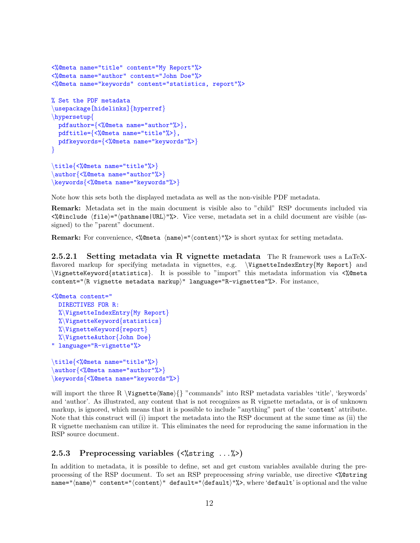```
<%@meta name="title" content="My Report"%>
<%@meta name="author" content="John Doe"%>
<%@meta name="keywords" content="statistics, report"%>
% Set the PDF metadata
\usepackage[hidelinks]{hyperref}
\hypersetup{
 pdfauthor={<%@meta name="author"%>},
 pdftitle={<%@meta name="title"%>},
 pdfkeywords={<%@meta name="keywords"%>}
}
\title{<%@meta name="title"%>}
\author{<%@meta name="author"%>}
\keywords{<%@meta name="keywords"%>}
```
Note how this sets both the displayed metadata as well as the non-visible PDF metadata.

Remark: Metadata set in the main document is visible also to "child" RSP documents included via  $\langle\$ Cinclude  $\langle$ file $\rangle$ =" $\langle$ pathname|URL $\rangle$ "%>. Vice verse, metadata set in a child document are visible (assigned) to the "parent" document.

Remark: For convenience,  $\langle\%$  meta  $\langle name\rangle=$ " $\langle content\rangle$ "%> is short syntax for setting metadata.

<span id="page-11-0"></span>2.5.2.1 Setting metadata via R vignette metadata The R framework uses a LaTeXflavored markup for specifying metadata in vignettes, e.g. \VignetteIndexEntry{My Report} and  $\Upsilon$  \VignetteKeyword{statistics}. It is possible to "import" this metadata information via <%@meta content=" $(R$  vignette metadata markup)" language="R-vignettes"%>. For instance,

```
<%@meta content="
 DIRECTIVES FOR R:
 %\VignetteIndexEntry{My Report}
 %\VignetteKeyword{statistics}
 %\VignetteKeyword{report}
 %\VignetteAuthor{John Doe}
" language="R-vignette"%>
\title{<%@meta name="title"%>}
\author{<%@meta name="author"%>}
```
\keywords{<%@meta name="keywords"%>}

will import the three R \Vignette $\langle Name \rangle$ } "commands" into RSP metadata variables 'title', 'keywords' and 'author'. As illustrated, any content that is not recognizes as R vignette metadata, or is of unknown markup, is ignored, which means that it is possible to include "anything" part of the 'content' attribute. Note that this construct will (i) import the metadata into the RSP document at the same time as (ii) the R vignette mechanism can utilize it. This eliminates the need for reproducing the same information in the RSP source document.

#### <span id="page-11-1"></span>2.5.3 Preprocessing variables  $(\langle\% \text{string} \dots \rangle)$

In addition to metadata, it is possible to define, set and get custom variables available during the preprocessing of the RSP document. To set an RSP preprocessing string variable, use directive <%@string name=" $\langle$ name)" content=" $\langle$ content)" default=" $\langle$ default)"%>, where 'default' is optional and the value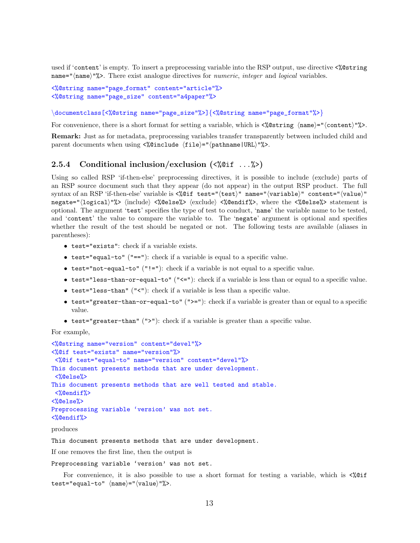used if 'content' is empty. To insert a preprocessing variable into the RSP output, use directive <%@string name=" $\langle$ name $\rangle$ "%>. There exist analogue directives for *numeric, integer* and *logical* variables.

```
<%@string name="page format" content="article"%>
<%@string name="page_size" content="a4paper"%>
```
\documentclass[<%@string name="page\_size"%>]{<%@string name="page\_format"%>}

For convenience, there is a short format for setting a variable, which is  $\langle\phi \rangle \leq \langle \phi \rangle = \langle \phi \rangle$  (content) "%>.

Remark: Just as for metadata, preprocessing variables transfer transparently between included child and parent documents when using  $\langle$ %@include  $\langle$ file $\rangle$ =" $\langle$ pathname|URL $\rangle$ "%>.

#### <span id="page-12-0"></span>2.5.4 Conditional inclusion/exclusion  $(\langle \sqrt[6]{\hspace{1.6pt}} \mathfrak{g}_{\mathfrak{i}} {\bf f} \dots \sqrt[6]{\hspace{1.6pt}} \rangle)$

Using so called RSP 'if-then-else' preprocessing directives, it is possible to include (exclude) parts of an RSP source document such that they appear (do not appear) in the output RSP product. The full syntax of an RSP 'if-then-else' variable is  $\langle\$ 0if test="text{test}\rangle" name=" $\langle\$ variable $\rangle"$  content=" $\langle\text{value}\rangle"$ negate="\logical\"%> \include\ <%@else%> \\exclude\ \exclude\ \exclude\ \exclude\ \exclude\ \exclude\ \exclude\ \exclude\ \exclude\ \exclude\ \exclude\ \exclude\ \exclude\ \exclude\ \exclude\ \exclude\ \exclude\ \exclude\ optional. The argument 'test' specifies the type of test to conduct, 'name' the variable name to be tested, and 'content' the value to compare the variable to. The 'negate' argument is optional and specifies whether the result of the test should be negated or not. The following tests are available (aliases in parentheses):

- test="exists": check if a variable exists.
- test="equal-to" ("=="): check if a variable is equal to a specific value.
- test="not-equal-to" ("!="): check if a variable is not equal to a specific value.
- test="less-than-or-equal-to" ("<="): check if a variable is less than or equal to a specific value.
- test="less-than" ("<"): check if a variable is less than a specific value.
- test="greater-than-or-equal-to" (">="): check if a variable is greater than or equal to a specific value.
- test="greater-than" (">"): check if a variable is greater than a specific value.

For example,

```
<%@string name="version" content="devel"%>
<%@if test="exists" name="version"%>
 <%@if test="equal-to" name="version" content="devel"%>
This document presents methods that are under development.
 <%@else%>
This document presents methods that are well tested and stable.
 <%@endif%>
<%@else%>
Preprocessing variable 'version' was not set.
<%@endif%>
```
produces

This document presents methods that are under development.

If one removes the first line, then the output is

Preprocessing variable 'version' was not set.

For convenience, it is also possible to use a short format for testing a variable, which is  $\langle\%$ if test="equal-to"  $\langle name \rangle = "\langle value \rangle "\rangle$ .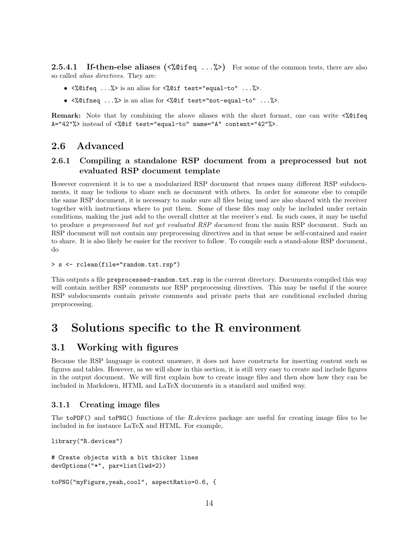<span id="page-13-0"></span>**2.5.4.1** If-then-else aliases  $(\langle \sqrt[n]{\text{Qifeq}} \dots \sqrt[n]{\rangle)$  For some of the common tests, there are also so called alias directives. They are:

- $\langle \delta \rangle$ @ifeq ... $\rangle \rangle$  is an alias for  $\langle \delta \rangle$ @if test="equal-to" ... $\rangle \rangle$ .
- <%@ifneq ...%> is an alias for <%@if test="not-equal-to" ...%>.

**Remark:** Note that by combining the above aliases with the short format, one can write  $\langle\text{Set}_{\mathcal{A}}\rangle$ A="42"%> instead of <%@if test="equal-to" name="A" content="42"%>.

#### <span id="page-13-1"></span>2.6 Advanced

#### <span id="page-13-2"></span>2.6.1 Compiling a standalone RSP document from a preprocessed but not evaluated RSP document template

However convenient it is to use a modularized RSP document that reuses many different RSP subdocuments, it may be tedious to share such as document with others. In order for someone else to compile the same RSP document, it is necessary to make sure all files being used are also shared with the receiver together with instructions where to put them. Some of these files may only be included under certain conditions, making the just add to the overall clutter at the receiver's end. In such cases, it may be useful to produce a preprocessed but not yet evaluated RSP document from the main RSP document. Such an RSP document will not contain any preprocessing directives and in that sense be self-contained and easier to share. It is also likely be easier for the receiver to follow. To compile such a stand-alone RSP document, do

> s <- rclean(file="random.txt.rsp")

This outputs a file preprocessed-random.txt.rsp in the current directory. Documents compiled this way will contain neither RSP comments nor RSP preprocessing directives. This may be useful if the source RSP subdocuments contain private comments and private parts that are conditional excluded during preprocessing.

## <span id="page-13-3"></span>3 Solutions specific to the R environment

#### <span id="page-13-4"></span>3.1 Working with figures

Because the RSP language is context unaware, it does not have constructs for inserting content such as figures and tables. However, as we will show in this section, it is still very easy to create and include figures in the output document. We will first explain how to create image files and then show how they can be included in Markdown, HTML and LaTeX documents in a standard and unified way.

#### <span id="page-13-5"></span>3.1.1 Creating image files

The toPDF() and toPNG() functions of the R.devices package are useful for creating image files to be included in for instance LaTeX and HTML. For example,

```
library("R.devices")
```

```
# Create objects with a bit thicker lines
devOptions("*", par=list(lwd=2))
```

```
toPNG("myFigure,yeah,cool", aspectRatio=0.6, {
```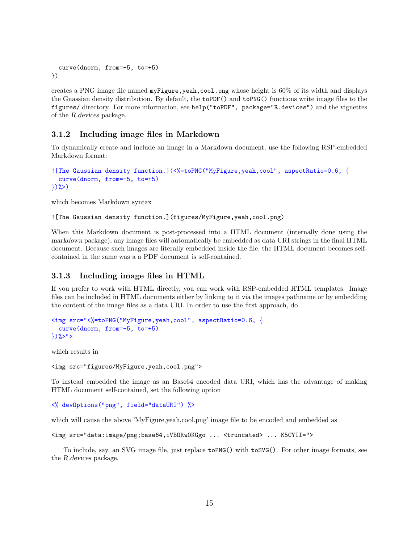```
curve(dnorm, from=-5, to=+5)
})
```
creates a PNG image file named myFigure,yeah,cool.png whose height is 60% of its width and displays the Guassian density distribution. By default, the toPDF() and toPNG() functions write image files to the figures/ directory. For more information, see help("toPDF", package="R.devices") and the vignettes of the R.devices package.

#### <span id="page-14-0"></span>3.1.2 Including image files in Markdown

To dynamically create and include an image in a Markdown document, use the following RSP-embedded Markdown format:

```
![The Gaussian density function.](<%=toPNG("MyFigure,yeah,cool", aspectRatio=0.6, {
  curve(dnorm, from=-5, to=+5)
\})%>)
```
which becomes Markdown syntax

![The Gaussian density function.](figures/MyFigure,yeah,cool.png)

When this Markdown document is post-processed into a HTML document (internally done using the markdown package), any image files will automatically be embedded as data URI strings in the final HTML document. Because such images are literally embedded inside the file, the HTML document becomes selfcontained in the same was a a PDF document is self-contained.

#### <span id="page-14-1"></span>3.1.3 Including image files in HTML

If you prefer to work with HTML directly, you can work with RSP-embedded HTML templates. Image files can be included in HTML documents either by linking to it via the images pathname or by embedding the content of the image files as a data URI. In order to use the first approach, do

```
<img src="<%=toPNG("MyFigure,yeah,cool", aspectRatio=0.6, {
  curve(dnorm, from=-5, to=+5)
\})%>">
```
which results in

```
<img src="figures/MyFigure,yeah,cool.png">
```
To instead embedded the image as an Base64 encoded data URI, which has the advantage of making HTML document self-contained, set the following option

```
<% devOptions("png", field="dataURI") %>
```
which will cause the above 'MyFigure,yeah,cool.png' image file to be encoded and embedded as

```
<img src="data:image/png;base64,iVBORw0KGgo ... <truncated> ... K5CYII=">
```
To include, say, an SVG image file, just replace toPNG() with toSVG(). For other image formats, see the R.devices package.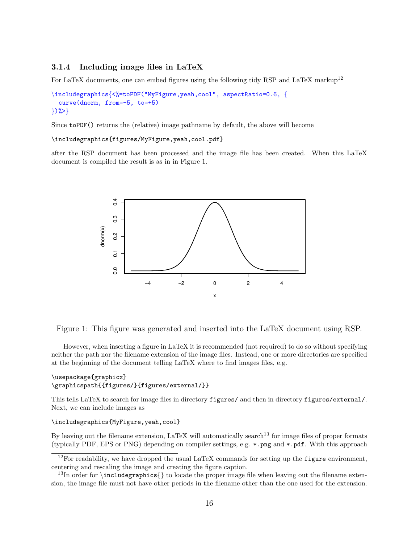#### <span id="page-15-0"></span>3.1.4 Including image files in LaTeX

For LaTeX documents, one can embed figures using the following tidy RSP and LaTeX markup<sup>[12](#page-15-1)</sup>

```
\includegraphics{<%=toPDF("MyFigure,yeah,cool", aspectRatio=0.6, {
  curve(dnorm, from=-5, to=+5)
\})%>}
```
Since toPDF() returns the (relative) image pathname by default, the above will become

```
\includegraphics{figures/MyFigure,yeah,cool.pdf}
```
after the RSP document has been processed and the image file has been created. When this LaTeX document is compiled the result is as in in Figure [1.](#page-15-2)



<span id="page-15-2"></span>Figure 1: This figure was generated and inserted into the LaTeX document using RSP.

However, when inserting a figure in LaTeX it is recommended (not required) to do so without specifying neither the path nor the filename extension of the image files. Instead, one or more directories are specified at the beginning of the document telling LaTeX where to find images files, e.g.

#### \usepackage{graphicx} \graphicspath{{figures/}{figures/external/}}

This tells LaTeX to search for image files in directory figures/ and then in directory figures/external/. Next, we can include images as

#### \includegraphics{MyFigure,yeah,cool}

By leaving out the filename extension, LaTeX will automatically search<sup>[13](#page-15-3)</sup> for image files of proper formats (typically PDF, EPS or PNG) depending on compiler settings, e.g. \*.png and \*.pdf. With this approach

<span id="page-15-1"></span> $12$ For readability, we have dropped the usual LaTeX commands for setting up the figure environment, centering and rescaling the image and creating the figure caption.

<span id="page-15-3"></span><sup>&</sup>lt;sup>13</sup>In order for  $\in$   $\{ \}$  to locate the proper image file when leaving out the filename extension, the image file must not have other periods in the filename other than the one used for the extension.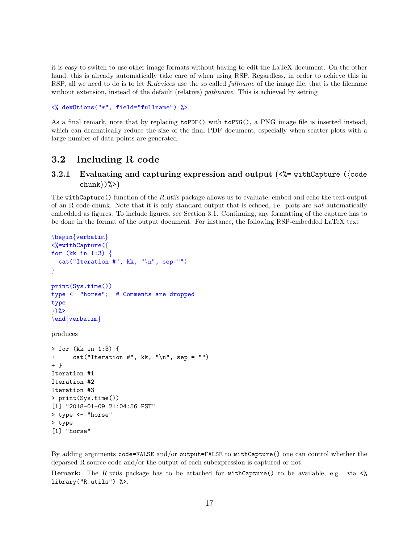it is easy to switch to use other image formats without having to edit the LaTeX document. On the other hand, this is already automatically take care of when using RSP. Regardless, in order to achieve this in RSP, all we need to do is to let R.devices use the so called fullname of the image file, that is the filename without extension, instead of the default (relative) *pathname*. This is achieved by setting

<% devOtions("\*", field="fullname") %>

As a final remark, note that by replacing toPDF() with toPNG(), a PNG image file is inserted instead, which can dramatically reduce the size of the final PDF document, especially when scatter plots with a large number of data points are generated.

#### <span id="page-16-0"></span>3.2 Including R code

#### <span id="page-16-1"></span>3.2.1 Evaluating and capturing expression and output  $\langle\zeta\rangle =$  with Capture ( $\langle\zeta\rangle$ code chunk $\rangle$ )%>)

The withCapture() function of the R.utils package allows us to evaluate, embed and echo the text output of an R code chunk. Note that it is only standard output that is echoed, i.e. plots are not automatically embedded as figures. To include figures, see Section [3.1.](#page-13-4) Continuing, any formatting of the capture has to be done in the format of the output document. For instance, the following RSP-embedded LaTeX text

```
\begin{verbatim}
<%=withCapture({
for (kk in 1:3) {
  cat("Iteration #", kk, "\langle n", sep="")
}
print(Sys.time())
type <- "horse"; # Comments are dropped
type
}\end{verbatim}
produces
> for (kk in 1:3) {
+ cat("Iteration #", kk, "\n", sep = "")
+ }
Iteration #1
Iteration #2
Iteration #3
> print(Sys.time())
[1] "2018-01-09 21:04:56 PST"
> type <- "horse"
> type
[1] "horse"
```
By adding arguments code=FALSE and/or output=FALSE to withCapture() one can control whether the deparsed R source code and/or the output of each subexpression is captured or not.

Remark: The R.utils package has to be attached for withCapture() to be available, e.g. via  $\langle\mathcal{E}\rangle$ library("R.utils") %>.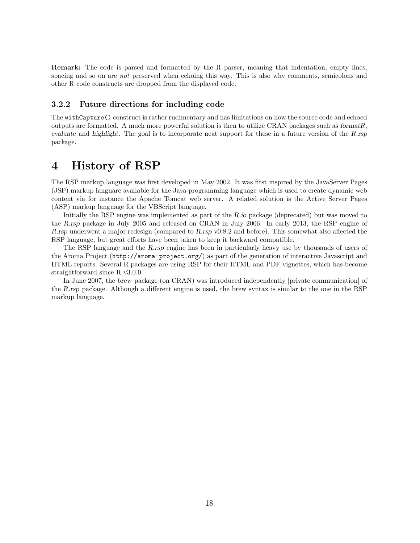Remark: The code is parsed and formatted by the R parser, meaning that indentation, empty lines, spacing and so on are *not* preserved when echoing this way. This is also why comments, semicolons and other R code constructs are dropped from the displayed code.

#### <span id="page-17-0"></span>3.2.2 Future directions for including code

The withCapture() construct is rather rudimentary and has limitations on how the source code and echoed outputs are formatted. A much more powerful solution is then to utilize CRAN packages such as formatR, evaluate and highlight. The goal is to incorporate neat support for these in a future version of the R.rsp package.

## <span id="page-17-1"></span>4 History of RSP

The RSP markup language was first developed in May 2002. It was first inspired by the JavaServer Pages (JSP) markup languare available for the Java programming language which is used to create dynamic web content via for instance the Apache Tomcat web server. A related solution is the Active Server Pages (ASP) markup language for the VBScript language.

Initially the RSP engine was implemented as part of the R.io package (deprecated) but was moved to the R.rsp package in July 2005 and released on CRAN in July 2006. In early 2013, the RSP engine of R.rsp underwent a major redesign (compared to R.rsp v0.8.2 and before). This somewhat also affected the RSP language, but great efforts have been taken to keep it backward compatible.

The RSP language and the R.rsp engine has been in particularly heavy use by thousands of users of the Aroma Project (<http://aroma-project.org/>) as part of the generation of interactive Javascript and HTML reports. Several R packages are using RSP for their HTML and PDF vignettes, which has become straightforward since R v3.0.0.

In June 2007, the brew package (on CRAN) was introduced independently [private communication] of the R.rsp package. Although a different engine is used, the brew syntax is similar to the one in the RSP markup language.